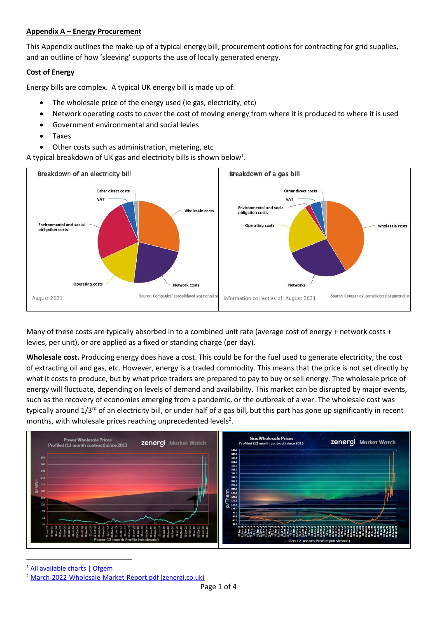## **Appendix A – Energy Procurement**

This Appendix outlines the make-up of a typical energy bill, procurement options for contracting for grid supplies, and an outline of how 'sleeving' supports the use of locally generated energy.

# **Cost of Energy**

Energy bills are complex. A typical UK energy bill is made up of:

- The wholesale price of the energy used (ie gas, electricity, etc)
- Network operating costs to cover the cost of moving energy from where it is produced to where it is used
- Government environmental and social levies
- Taxes
- Other costs such as administration, metering, etc

A typical breakdown of UK gas and electricity bills is shown below<sup>1</sup>.



Many of these costs are typically absorbed in to a combined unit rate (average cost of energy + network costs + levies, per unit), or are applied as a fixed or standing charge (per day).

**Wholesale cost.** Producing energy does have a cost. This could be for the fuel used to generate electricity, the cost of extracting oil and gas, etc. However, energy is a traded commodity. This means that the price is not set directly by what it costs to produce, but by what price traders are prepared to pay to buy or sell energy. The wholesale price of energy will fluctuate, depending on levels of demand and availability. This market can be disrupted by major events, such as the recovery of economies emerging from a pandemic, or the outbreak of a war. The wholesale cost was typically around 1/3<sup>rd</sup> of an electricity bill, or under half of a gas bill, but this part has gone up significantly in recent months, with wholesale prices reaching unprecedented levels<sup>2</sup>.



<sup>1</sup> [All available charts | Ofgem](https://www.ofgem.gov.uk/energy-data-and-research/data-portal/all-available-charts?sort=created&page=4)

 $\overline{a}$ 

<sup>2</sup> [March-2022-Wholesale-Market-Report.pdf \(zenergi.co.uk\)](https://marketwatch.zenergi.co.uk/wp-content/uploads/2022/04/March-2022-Wholesale-Market-Report.pdf)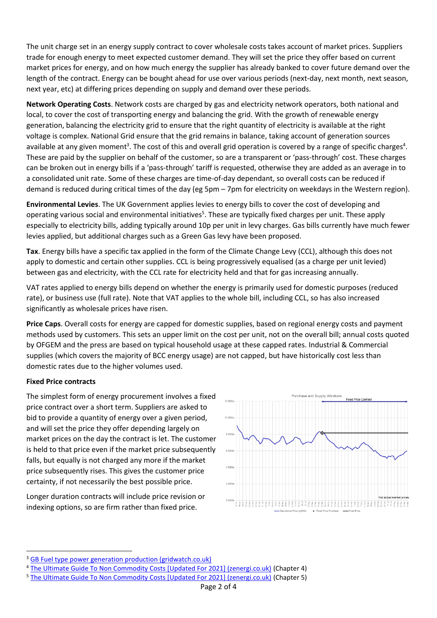The unit charge set in an energy supply contract to cover wholesale costs takes account of market prices. Suppliers trade for enough energy to meet expected customer demand. They will set the price they offer based on current market prices for energy, and on how much energy the supplier has already banked to cover future demand over the length of the contract. Energy can be bought ahead for use over various periods (next-day, next month, next season, next year, etc) at differing prices depending on supply and demand over these periods.

**Network Operating Costs**. Network costs are charged by gas and electricity network operators, both national and local, to cover the cost of transporting energy and balancing the grid. With the growth of renewable energy generation, balancing the electricity grid to ensure that the right quantity of electricity is available at the right voltage is complex. National Grid ensure that the grid remains in balance, taking account of generation sources available at any given moment<sup>3</sup>. The cost of this and overall grid operation is covered by a range of specific charges<sup>4</sup>. These are paid by the supplier on behalf of the customer, so are a transparent or 'pass-through' cost. These charges can be broken out in energy bills if a 'pass-through' tariff is requested, otherwise they are added as an average in to a consolidated unit rate. Some of these charges are time-of-day dependant, so overall costs can be reduced if demand is reduced during critical times of the day (eg 5pm – 7pm for electricity on weekdays in the Western region).

**Environmental Levies**. The UK Government applies levies to energy bills to cover the cost of developing and operating various social and environmental initiatives<sup>5</sup>. These are typically fixed charges per unit. These apply especially to electricity bills, adding typically around 10p per unit in levy charges. Gas bills currently have much fewer levies applied, but additional charges such as a Green Gas levy have been proposed.

**Tax**. Energy bills have a specific tax applied in the form of the Climate Change Levy (CCL), although this does not apply to domestic and certain other supplies. CCL is being progressively equalised (as a charge per unit levied) between gas and electricity, with the CCL rate for electricity held and that for gas increasing annually.

VAT rates applied to energy bills depend on whether the energy is primarily used for domestic purposes (reduced rate), or business use (full rate). Note that VAT applies to the whole bill, including CCL, so has also increased significantly as wholesale prices have risen.

**Price Caps**. Overall costs for energy are capped for domestic supplies, based on regional energy costs and payment methods used by customers. This sets an upper limit on the cost per unit, not on the overall bill; annual costs quoted by OFGEM and the press are based on typical household usage at these capped rates. Industrial & Commercial supplies (which covers the majority of BCC energy usage) are not capped, but have historically cost less than domestic rates due to the higher volumes used.

## **Fixed Price contracts**

1

The simplest form of energy procurement involves a fixed price contract over a short term. Suppliers are asked to bid to provide a quantity of energy over a given period, and will set the price they offer depending largely on market prices on the day the contract is let. The customer is held to that price even if the market price subsequently falls, but equally is not charged any more if the market price subsequently rises. This gives the customer price certainty, if not necessarily the best possible price.

Longer duration contracts will include price revision or indexing options, so are firm rather than fixed price.



<sup>&</sup>lt;sup>3</sup> [GB Fuel type power generation production \(gridwatch.co.uk\)](https://gridwatch.co.uk/?oldgw=)

<sup>4</sup> [The Ultimate Guide To Non Commodity Costs \[Updated For 2021\] \(zenergi.co.uk\)](https://zenergi.co.uk/latest/the-ultimate-guide-to-non-commodity-costs-what-how-and-why-2021/?sf_action=get_data&sf_data=results&_sf_s=DUoS#chapterfour) (Chapter 4)

<sup>&</sup>lt;sup>5</sup> [The Ultimate Guide To Non Commodity Costs \[Updated For 2021\] \(zenergi.co.uk\)](https://zenergi.co.uk/latest/the-ultimate-guide-to-non-commodity-costs-what-how-and-why-2021/?sf_action=get_data&sf_data=results&_sf_s=DUoS#chapterfive) (Chapter 5)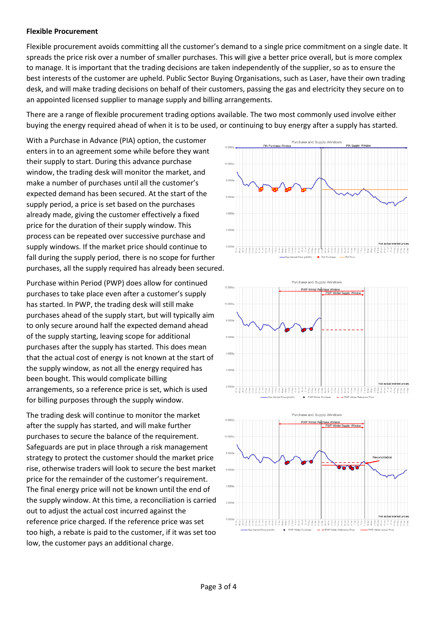#### **Flexible Procurement**

Flexible procurement avoids committing all the customer's demand to a single price commitment on a single date. It spreads the price risk over a number of smaller purchases. This will give a better price overall, but is more complex to manage. It is important that the trading decisions are taken independently of the supplier, so as to ensure the best interests of the customer are upheld. Public Sector Buying Organisations, such as Laser, have their own trading desk, and will make trading decisions on behalf of their customers, passing the gas and electricity they secure on to an appointed licensed supplier to manage supply and billing arrangements.

There are a range of flexible procurement trading options available. The two most commonly used involve either buying the energy required ahead of when it is to be used, or continuing to buy energy after a supply has started.

With a Purchase in Advance (PIA) option, the customer enters in to an agreement some while before they want their supply to start. During this advance purchase window, the trading desk will monitor the market, and make a number of purchases until all the customer's expected demand has been secured. At the start of the supply period, a price is set based on the purchases already made, giving the customer effectively a fixed price for the duration of their supply window. This process can be repeated over successive purchase and supply windows. If the market price should continue to fall during the supply period, there is no scope for further purchases, all the supply required has already been secured.

Purchase within Period (PWP) does allow for continued purchases to take place even after a customer's supply has started. In PWP, the trading desk will still make purchases ahead of the supply start, but will typically aim to only secure around half the expected demand ahead of the supply starting, leaving scope for additional purchases after the supply has started. This does mean that the actual cost of energy is not known at the start of the supply window, as not all the energy required has been bought. This would complicate billing arrangements, so a reference price is set, which is used for billing purposes through the supply window.

The trading desk will continue to monitor the market after the supply has started, and will make further purchases to secure the balance of the requirement. Safeguards are put in place through a risk management strategy to protect the customer should the market price rise, otherwise traders will look to secure the best market price for the remainder of the customer's requirement. The final energy price will not be known until the end of the supply window. At this time, a reconciliation is carried out to adjust the actual cost incurred against the reference price charged. If the reference price was set too high, a rebate is paid to the customer, if it was set too low, the customer pays an additional charge.